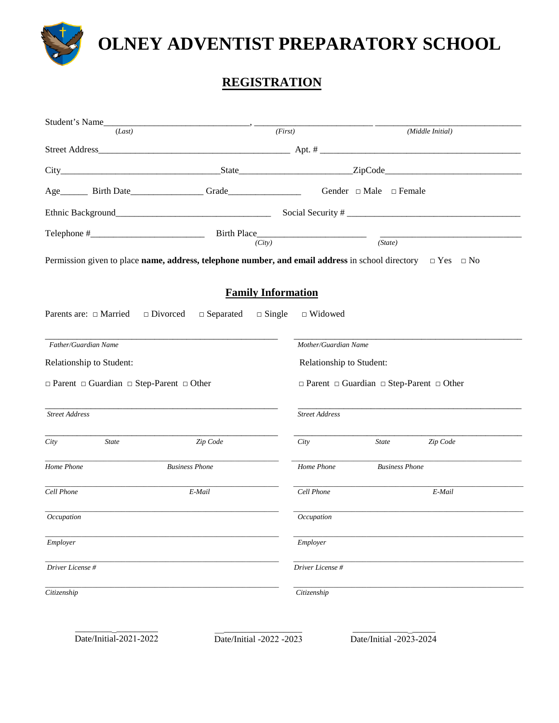

# **OLNEY ADVENTIST PREPARATORY SCHOOL**

### **REGISTRATION**

|                                                                                  |                             | (Middle Initial)                                                                                                                |  |  |  |  |
|----------------------------------------------------------------------------------|-----------------------------|---------------------------------------------------------------------------------------------------------------------------------|--|--|--|--|
| (First)<br>(Last)                                                                |                             |                                                                                                                                 |  |  |  |  |
|                                                                                  |                             |                                                                                                                                 |  |  |  |  |
|                                                                                  |                             | Gender $\Box$ Male $\Box$ Female                                                                                                |  |  |  |  |
| Age__________ Birth Date______________________Grade_____________________________ |                             |                                                                                                                                 |  |  |  |  |
|                                                                                  |                             |                                                                                                                                 |  |  |  |  |
| $\overline{(City)}$                                                              | $\overline{\text{(State)}}$ |                                                                                                                                 |  |  |  |  |
|                                                                                  |                             | Permission given to place name, address, telephone number, and email address in school directory $\Box$ Yes $\Box$ No           |  |  |  |  |
|                                                                                  |                             |                                                                                                                                 |  |  |  |  |
|                                                                                  |                             |                                                                                                                                 |  |  |  |  |
|                                                                                  |                             |                                                                                                                                 |  |  |  |  |
|                                                                                  | Mother/Guardian Name        |                                                                                                                                 |  |  |  |  |
| Relationship to Student:                                                         |                             |                                                                                                                                 |  |  |  |  |
| $\Box$ Parent $\Box$ Guardian $\Box$ Step-Parent $\Box$ Other                    |                             | $\Box$ Parent $\Box$ Guardian $\Box$ Step-Parent $\Box$ Other                                                                   |  |  |  |  |
|                                                                                  |                             |                                                                                                                                 |  |  |  |  |
|                                                                                  |                             |                                                                                                                                 |  |  |  |  |
|                                                                                  | City                        | Zip Code<br><b>State</b>                                                                                                        |  |  |  |  |
|                                                                                  | Home Phone                  | <b>Business Phone</b>                                                                                                           |  |  |  |  |
|                                                                                  | Cell Phone                  | E-Mail                                                                                                                          |  |  |  |  |
|                                                                                  | Occupation                  |                                                                                                                                 |  |  |  |  |
|                                                                                  | Employer                    |                                                                                                                                 |  |  |  |  |
|                                                                                  | Driver License #            |                                                                                                                                 |  |  |  |  |
|                                                                                  | Citizenship                 |                                                                                                                                 |  |  |  |  |
|                                                                                  |                             | <b>Family Information</b><br>$\Box$ Separated $\Box$ Single $\Box$ Widowed<br>Relationship to Student:<br><b>Street Address</b> |  |  |  |  |

\_\_\_\_\_\_\_\_\_\_\_\_\_\_\_\_\_\_\_ Date/Initial -2022 -2023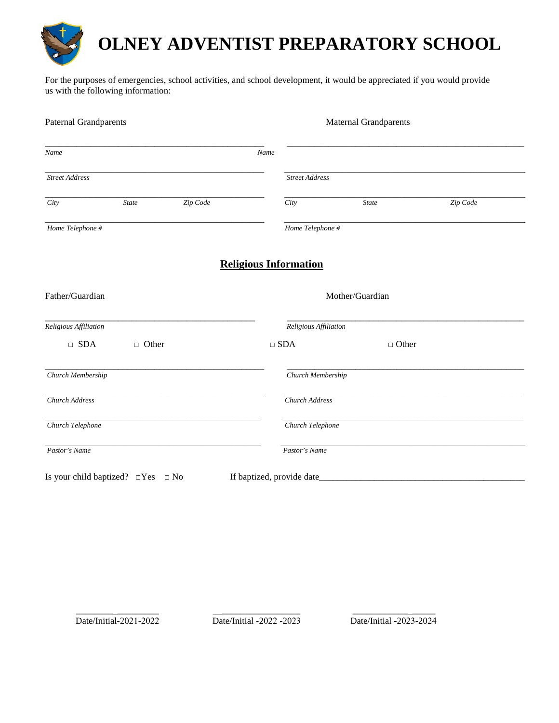

## **OLNEY ADVENTIST PREPARATORY SCHOOL**

For the purposes of emergencies, school activities, and school development, it would be appreciated if you would provide us with the following information:

| <b>Paternal Grandparents</b>                 |              |          | <b>Maternal Grandparents</b> |                              |              |          |  |
|----------------------------------------------|--------------|----------|------------------------------|------------------------------|--------------|----------|--|
| Name                                         |              |          | Name                         |                              |              |          |  |
| <b>Street Address</b>                        |              |          |                              | <b>Street Address</b>        |              |          |  |
| City                                         | <b>State</b> | Zip Code |                              | City                         | State        | Zip Code |  |
| Home Telephone #                             |              |          |                              | Home Telephone #             |              |          |  |
|                                              |              |          |                              | <b>Religious Information</b> |              |          |  |
| Father/Guardian                              |              |          |                              | Mother/Guardian              |              |          |  |
| Religious Affiliation                        |              |          |                              | Religious Affiliation        |              |          |  |
| $\Box$ SDA                                   | $\Box$ Other |          |                              | $\square$ SDA                | $\Box$ Other |          |  |
| Church Membership                            |              |          |                              | Church Membership            |              |          |  |
| Church Address                               |              |          |                              | Church Address               |              |          |  |
| Church Telephone                             |              |          |                              | Church Telephone             |              |          |  |
| Pastor's Name                                |              |          |                              | Pastor's Name                |              |          |  |
| Is your child baptized? $\Box$ Yes $\Box$ No |              |          |                              | If baptized, provide date    |              |          |  |

\_\_\_\_\_\_\_\_\_\_\_\_\_\_\_\_\_\_ Date/Initial-2021-2022

\_\_\_\_\_\_\_\_\_\_\_\_\_\_\_\_\_\_\_ Date/Initial -2022 -2023

\_\_\_\_\_\_\_\_\_\_\_\_\_\_\_\_\_\_ Date/Initial -2023-2024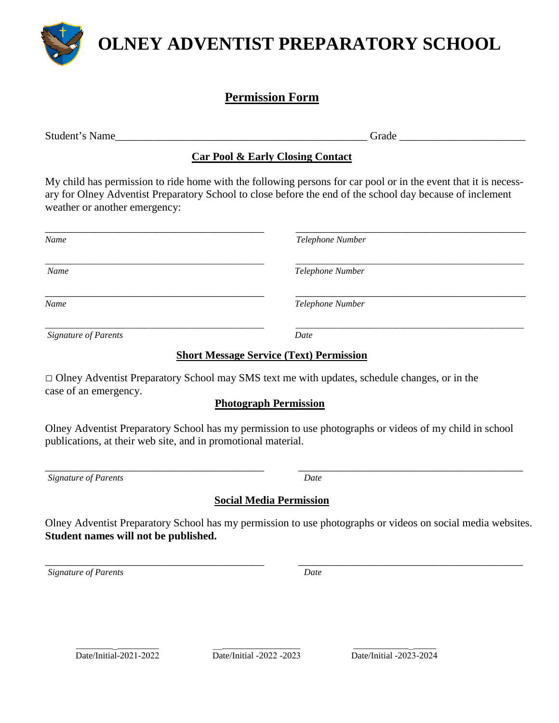

### **OLNEY ADVENTIST PREPARATORY SCHOOL**

#### **Permission Form**

Student's Name\_\_\_\_\_\_\_\_\_\_\_\_\_\_\_\_\_\_\_\_\_\_\_\_\_\_\_\_\_\_\_\_\_\_\_\_\_\_\_\_\_\_\_\_\_\_ Grade \_\_\_\_\_\_\_\_\_\_\_\_\_\_\_\_\_\_\_\_\_\_\_

#### **Car Pool & Early Closing Contact**

My child has permission to ride home with the following persons for car pool or in the event that it is necessary for Olney Adventist Preparatory School to close before the end of the school day because of inclement weather or another emergency:

| Name                        | Telephone Number |
|-----------------------------|------------------|
| Name                        | Telephone Number |
| Name                        | Telephone Number |
| <b>Signature of Parents</b> | Date             |

#### **Short Message Service (Text) Permission**

□ Olney Adventist Preparatory School may SMS text me with updates, schedule changes, or in the case of an emergency.

#### **Photograph Permission**

Olney Adventist Preparatory School has my permission to use photographs or videos of my child in school publications, at their web site, and in promotional material.

\_\_\_\_\_\_\_\_\_\_\_\_\_\_\_\_\_\_\_\_\_\_\_\_\_\_\_\_\_\_\_\_\_\_\_\_\_\_\_\_ \_\_\_\_\_\_\_\_\_\_\_\_\_\_\_\_\_\_\_\_\_\_\_\_\_\_\_\_\_\_\_\_\_\_\_\_\_\_\_\_\_ *Signature of Parents Date*

#### **Social Media Permission**

Olney Adventist Preparatory School has my permission to use photographs or videos on social media websites. **Student names will not be published.** 

\_\_\_\_\_\_\_\_\_\_\_\_\_\_\_\_\_\_\_\_\_\_\_\_\_\_\_\_\_\_\_\_\_\_\_\_\_\_\_\_ \_\_\_\_\_\_\_\_\_\_\_\_\_\_\_\_\_\_\_\_\_\_\_\_\_\_\_\_\_\_\_\_\_\_\_\_\_\_\_\_\_ *Signature of Parents Date*

\_\_\_\_\_\_\_\_\_\_\_\_\_\_\_\_\_\_ Date/Initial-2021-2022

 $\overline{\phantom{a}}$  , and the contract of the contract of the contract of the contract of the contract of the contract of the contract of the contract of the contract of the contract of the contract of the contract of the contrac  $\overline{\text{Date}}$ /Initial -2022 -2023

\_\_\_\_\_\_\_\_\_\_\_\_\_\_\_\_\_\_ Date/Initial -2023-2024